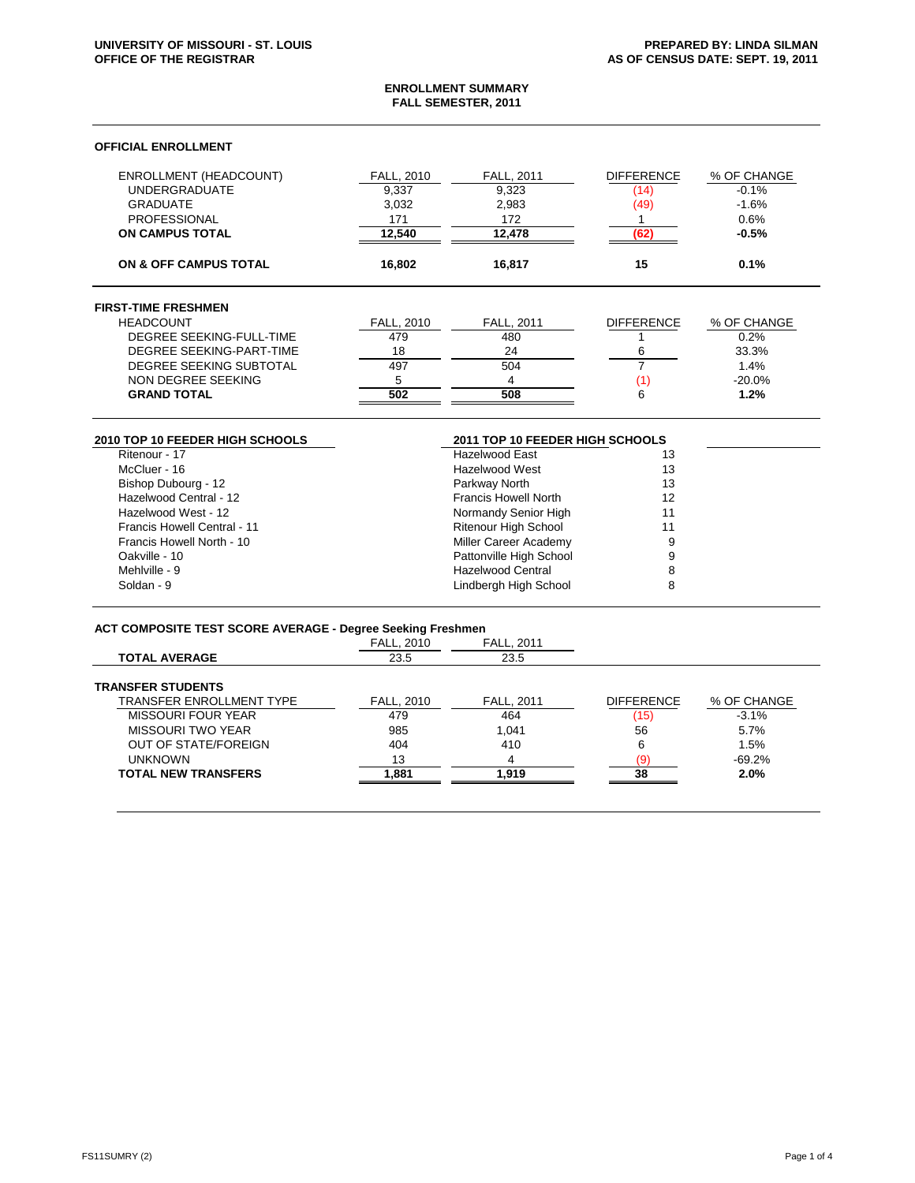#### **ENROLLMENT SUMMARY FALL SEMESTER, 2011**

## **OFFICIAL ENROLLMENT**

| <b>UNDERGRADUATE</b><br>9,337<br>9,323<br>(14)<br>3,032<br>(49)<br><b>GRADUATE</b><br>2,983<br><b>PROFESSIONAL</b><br>171<br>172<br>12.540<br><b>ON CAMPUS TOTAL</b><br>12.478<br>(62 | 0.6%<br>$-0.5%$ |
|---------------------------------------------------------------------------------------------------------------------------------------------------------------------------------------|-----------------|
|                                                                                                                                                                                       |                 |
|                                                                                                                                                                                       |                 |
|                                                                                                                                                                                       | $-1.6%$         |
|                                                                                                                                                                                       | $-0.1%$         |
| <b>ENROLLMENT (HEADCOUNT)</b><br><b>DIFFERENCE</b><br><b>FALL, 2010</b><br><b>FALL, 2011</b>                                                                                          | % OF CHANGE     |

# **FIRST-TIME FRESHMEN**

| <b>HEADCOUNT</b>         | <b>FALL, 2010</b> | <b>FALL. 2011</b> | <b>DIFFERENCE</b> | % OF CHANGE |
|--------------------------|-------------------|-------------------|-------------------|-------------|
| DEGREE SEEKING-FULL-TIME | 479               | 480               |                   | 0.2%        |
| DEGREE SEEKING-PART-TIME | 18                | 24                |                   | 33.3%       |
| DEGREE SEEKING SUBTOTAL  | 497               | 504               |                   | 1.4%        |
| NON DEGREE SEEKING       |                   |                   |                   | $-20.0%$    |
| <b>GRAND TOTAL</b>       | 502               | 508               |                   | 1.2%        |

# **2010 TOP 10 FEEDER HIGH SCHOOLS 2011 TOP 10 FEEDER HIGH SCHOOLS**

| Ritenour - 17                      | <b>Hazelwood East</b>       | 13 |
|------------------------------------|-----------------------------|----|
| McCluer - 16                       | Hazelwood West              | 13 |
| Bishop Dubourg - 12                | Parkway North               | 13 |
| Hazelwood Central - 12             | <b>Francis Howell North</b> | 12 |
| Hazelwood West - 12                | Normandy Senior High        | 11 |
| <b>Francis Howell Central - 11</b> | <b>Ritenour High School</b> | 11 |
| Francis Howell North - 10          | Miller Career Academy       | 9  |
| Oakville - 10                      | Pattonville High School     | 9  |
| Mehlville - 9                      | <b>Hazelwood Central</b>    | 8  |
| Soldan - 9                         | Lindbergh High School       | 8  |
|                                    |                             |    |

# **ACT COMPOSITE TEST SCORE AVERAGE - Degree Seeking Freshmen**

| AVI VOIII VOITE TEUT OOURE ATERAOE - DOGIOU OCCRITIQ I ROILINGII |                   |                   |                   |             |
|------------------------------------------------------------------|-------------------|-------------------|-------------------|-------------|
|                                                                  | <b>FALL, 2010</b> | <b>FALL, 2011</b> |                   |             |
| <b>TOTAL AVERAGE</b>                                             | 23.5              | 23.5              |                   |             |
| <b>TRANSFER STUDENTS</b>                                         |                   |                   |                   |             |
| <b>TRANSFER ENROLLMENT TYPE</b>                                  | <b>FALL, 2010</b> | <b>FALL. 2011</b> | <b>DIFFERENCE</b> | % OF CHANGE |
| <b>MISSOURI FOUR YEAR</b>                                        | 479               | 464               | (15)              | $-3.1%$     |
| <b>MISSOURI TWO YEAR</b>                                         | 985               | 1.041             | 56                | 5.7%        |
| <b>OUT OF STATE/FOREIGN</b>                                      | 404               | 410               | 6                 | 1.5%        |
| <b>UNKNOWN</b>                                                   | 13                | 4                 | ۵)                | $-69.2%$    |
| <b>TOTAL NEW TRANSFERS</b>                                       | 881. ا            | 1.919             | 38                | 2.0%        |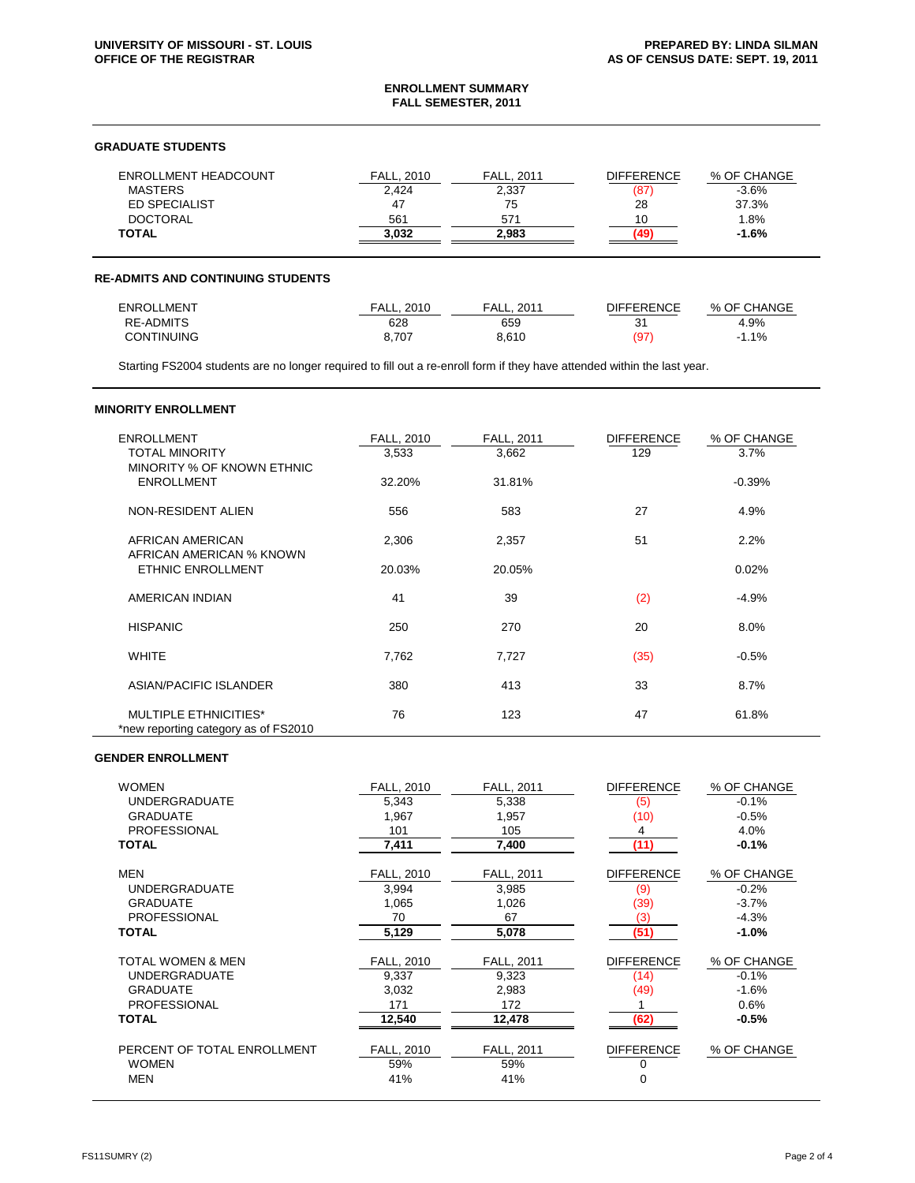#### **ENROLLMENT SUMMARY FALL SEMESTER, 2011**

### **GRADUATE STUDENTS**

| <b>ENROLLMENT HEADCOUNT</b> | FALL. 2010 | <b>FALL, 2011</b> | <b>DIFFERENCE</b> | % OF CHANGE |
|-----------------------------|------------|-------------------|-------------------|-------------|
| <b>MASTERS</b>              | 2,424      | 2,337             | (87               | $-3.6%$     |
| ED SPECIALIST               | 47         | 75                | 28                | 37.3%       |
| <b>DOCTORAL</b>             | 561        | 571               |                   | .8%         |
| <b>TOTAL</b>                | 3.032      | 2.983             |                   | $-1.6%$     |

#### **RE-ADMITS AND CONTINUING STUDENTS**

| <b>ENROLLMENT</b> | FALL.<br>2010 | 2011<br>FALL. | DIFFERENCE     | % OF CHANGE    |
|-------------------|---------------|---------------|----------------|----------------|
| <b>RE-ADMITS</b>  | 628           | 659           | 2 <sup>4</sup> | 4.9%           |
| <b>CONTINUING</b> | 8.707         | 8.610         | (97            | $1.1\%$<br>- 1 |

Starting FS2004 students are no longer required to fill out a re-enroll form if they have attended within the last year.

## **MINORITY ENROLLMENT**

| <b>ENROLLMENT</b><br><b>TOTAL MINORITY</b><br>MINORITY % OF KNOWN ETHNIC | FALL, 2010<br>3,533 | <b>FALL, 2011</b><br>3,662 | <b>DIFFERENCE</b><br>129 | % OF CHANGE<br>3.7% |
|--------------------------------------------------------------------------|---------------------|----------------------------|--------------------------|---------------------|
| <b>ENROLLMENT</b>                                                        | 32.20%              | 31.81%                     |                          | $-0.39%$            |
| NON-RESIDENT ALIEN                                                       | 556                 | 583                        | 27                       | 4.9%                |
| AFRICAN AMERICAN<br>AFRICAN AMERICAN % KNOWN                             | 2,306               | 2,357                      | 51                       | 2.2%                |
| <b>ETHNIC ENROLLMENT</b>                                                 | 20.03%              | 20.05%                     |                          | 0.02%               |
| AMERICAN INDIAN                                                          | 41                  | 39                         | (2)                      | $-4.9%$             |
| <b>HISPANIC</b>                                                          | 250                 | 270                        | 20                       | 8.0%                |
| <b>WHITE</b>                                                             | 7,762               | 7,727                      | (35)                     | $-0.5%$             |
| ASIAN/PACIFIC ISLANDER                                                   | 380                 | 413                        | 33                       | 8.7%                |
| <b>MULTIPLE ETHNICITIES*</b><br>*new reporting category as of FS2010     | 76                  | 123                        | 47                       | 61.8%               |

# **GENDER ENROLLMENT**

| <b>WOMEN</b>                 | FALL, 2010        | FALL, 2011 | <b>DIFFERENCE</b> | % OF CHANGE |
|------------------------------|-------------------|------------|-------------------|-------------|
| <b>UNDERGRADUATE</b>         | 5,343             | 5,338      | (5)               | $-0.1%$     |
| <b>GRADUATE</b>              | 1,967             | 1,957      | (10)              | $-0.5%$     |
| <b>PROFESSIONAL</b>          | 101               | 105        | 4                 | 4.0%        |
| <b>TOTAL</b>                 | 7,411             | 7,400      | (11)              | $-0.1%$     |
|                              |                   |            |                   |             |
| <b>MEN</b>                   | FALL, 2010        | FALL, 2011 | <b>DIFFERENCE</b> | % OF CHANGE |
| <b>UNDERGRADUATE</b>         | 3,994             | 3,985      | (9)               | $-0.2%$     |
| <b>GRADUATE</b>              | 1,065             | 1,026      | (39)              | $-3.7%$     |
| <b>PROFESSIONAL</b>          | 70                | 67         | (3)               | $-4.3%$     |
| <b>TOTAL</b>                 | 5,129             | 5,078      | (51)              | $-1.0%$     |
|                              |                   |            |                   |             |
| <b>TOTAL WOMEN &amp; MEN</b> | <b>FALL, 2010</b> | FALL, 2011 | <b>DIFFERENCE</b> | % OF CHANGE |
| <b>UNDERGRADUATE</b>         | 9,337             | 9,323      | (14)              | $-0.1%$     |
| <b>GRADUATE</b>              | 3,032             | 2,983      | (49)              | $-1.6%$     |
| <b>PROFESSIONAL</b>          | 171               | 172        |                   | 0.6%        |
| <b>TOTAL</b>                 | 12,540            | 12,478     | (62)              | $-0.5%$     |
|                              |                   |            |                   |             |
| PERCENT OF TOTAL ENROLLMENT  | <b>FALL, 2010</b> | FALL, 2011 | <b>DIFFERENCE</b> | % OF CHANGE |
| <b>WOMEN</b>                 | 59%               | 59%        | 0                 |             |
| <b>MEN</b>                   | 41%               | 41%        | $\Omega$          |             |
|                              |                   |            |                   |             |